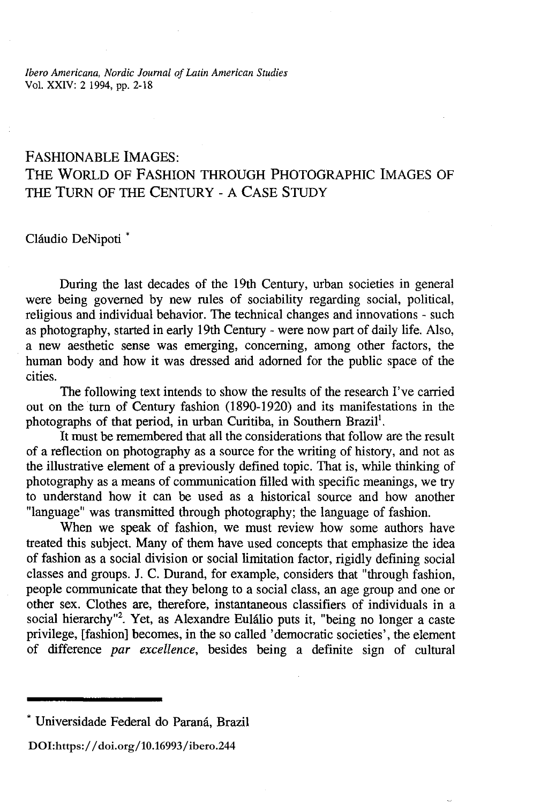*Ibero Americana, Nordic Journal of Latin American Studies*  Vol. XXIV: 2 1994, pp. 2-18

# FASHIONABLE IMAGES: THE WORLD OF FASHION THROUGH PHOTOGRAPHIC IMAGES OF THE TURN OF THE CENTURY - A CASE STUDY

Cláudio DeNipoti<sup>\*</sup>

During the last decades of the 19th Century, urban societies in general were being governed by new rules of sociability regarding social, political, religious and individual behavior. The technical changes and innovations - such as photography, started in early 19th Century - were now part of daily life. Also, a new aesthetic sense was emerging, concerning, among other factors, the human body and how it was dressed and adorned for the public space of the cities.

The following text intends to show the results of the research I've carried out on the tum of Century fashion (1890-1920) and its manifestations in the photographs of that period, in urban Curitiba, in Southern Brazil<sup>1</sup>.

It must be remembered that all the considerations that follow are the result of a reflection on photography as a source for the writing of history, and not as the illustrative element of a previously defined topic. That is, while thinking of photography as a means of communication filled with specific meanings, we try to understand how it can be used as a historical source and how another "language" was transmitted through photography; the language of fashion.

When we speak of fashion, we must review how some authors have treated this subject. Many of them have used concepts that emphasize the idea of fashion as a social division or social limitation factor, rigidly defining social classes and groups. J. C. Durand, for example, considers that "through fashion, people communicate that they belong to a social class, an age group and one or other sex. Clothes are, therefore, instantaneous classifiers of individuals in a social hierarchy<sup>12</sup>. Yet, as Alexandre Eulálio puts it, "being no longer a caste privilege, [fashion] becomes, in the so called 'democratic societies', the element of difference *par excellence,* besides being a definite sign of cultural

**DOI[:https://doi.org/10.16993/ibero.244](https://doi.org/10.16993/ibero.244)**

<sup>•</sup> Universidade Federal do Parana, Brazil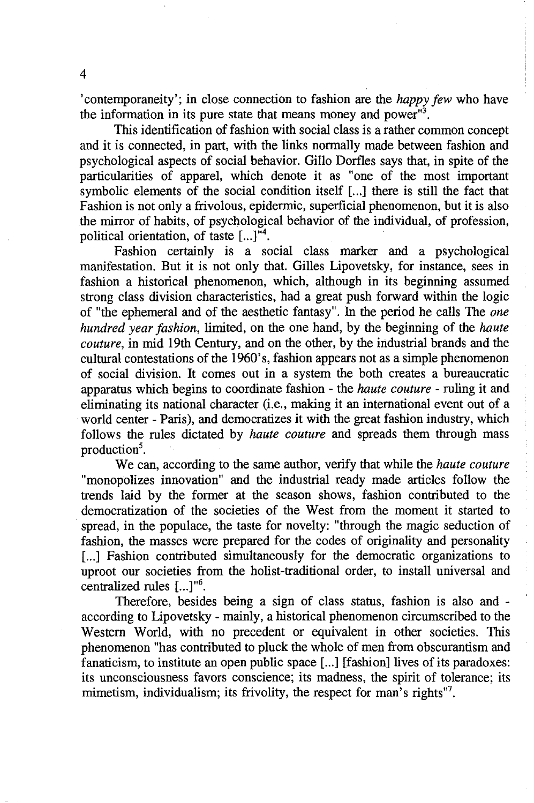, contemporaneity'; in close connection to fashion are the *happy few* who have the information in its pure state that means money and power"<sup>3</sup>.

This identification of fashion with social class is a rather common concept and it is connected, in part, with the links normally made between fashion and psychological aspects of social behavior. Gillo Dorfles says that, in spite of the particularities of apparel, which denote it as "one of the most important symbolic elements of the social condition itself [...] there is still the fact that Fashion is not only a frivolous, epidermic, superficial phenomenon, but it is also the mirror of habits, of psychological behavior of the individual, of profession, political orientation, of taste  $[...]^{m4}$ .

Fashion certainly is a social class marker and a psychological manifestation. But it is not only that. Gilles Lipovetsky, for instance, sees in fashion a historical phenomenon, which, although in its beginning assumed strong class division characteristics, had a great push forward within the logic of "the ephemeral and of the aesthetic fantasy". In the period he calls The *one hundred year fashion,* limited, on the one hand, by the beginning of the *haute couture,* in mid 19th Century, and on the other, by the industrial brands and the cultural contestations of the 1960's, fashion appears not as a simple phenomenon of social division. It comes out in a system the both creates a bureaucratic apparatus which begins to coordinate fashion - the *haute couture* - ruling it and eliminating its national character (i.e., making it an international event out of a world center - Paris), and democratizes it with the great fashion industry, which follows the rules dictated by *haute couture* and spreads them through mass production<sup>5</sup>.

We can, according to the same author, verify that while the *haute couture*  "monopolizes innovation" and the industrial ready made articles follow the trends laid by the former at the season shows, fashion contributed to the democratization of the societies of the West from the moment it started to spread, in the populace, the taste for novelty: "through the magic seduction of fashion, the masses were prepared for the codes of originality and personality [...] Fashion contributed simultaneously for the democratic organizations to uproot our societies from the holist-traditional order, to install universal and centralized rules [...]"<sup>6</sup>.

Therefore, besides being a sign of class status, fashion is also and according to Lipovetsky - mainly, a historical phenomenon circumscribed to the Western World, with no precedent or equivalent in other societies. This phenomenon "has contributed to pluck the whole of men from obscurantism and fanaticism, to institute an open public space [...] [fashion] lives of its paradoxes: its unconsciousness favors conscience; its madness, the spirit of tolerance; its mimetism, individualism; its frivolity, the respect for man's rights"<sup>7</sup>.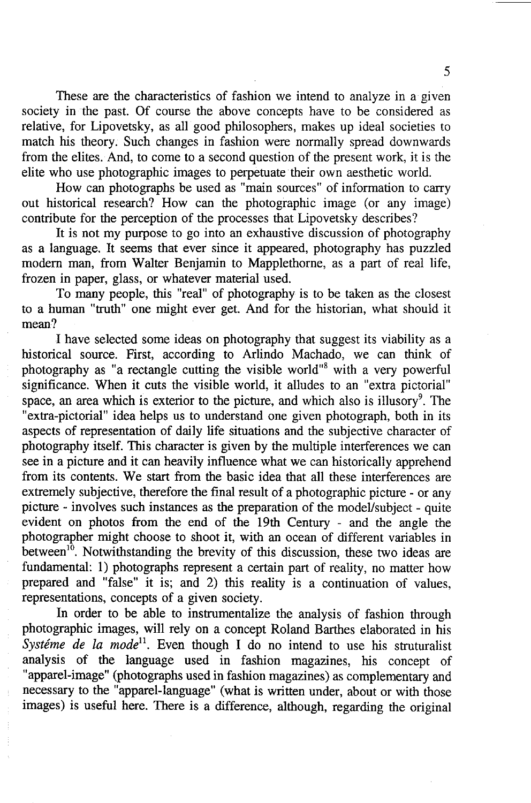These are the characteristics of fashion we intend to analyze in a given society in the past. Of course the above concepts have to be considered as relative, for Lipovetsky, as all good philosophers, makes up ideal societies to match his theory. Such changes in fashion were normally spread downwards from the elites. And, to come to a second question of the present work, it is the elite who use photographic images to perpetuate their own aesthetic world.

How can photographs be used as "main sources" of information to carry out historical research? How can the photographic image (or any image) contribute for the perception of the processes that Lipovetsky describes?

It is not my purpose to go into an exhaustive discussion of photography as a language. It seems that ever since it appeared, photography has puzzled modem man, from Walter Benjamin to Mapplethome, as a part of real life, frozen in paper, glass, or whatever material used.

To many people, this "real" of photography is to be taken as the closest to a human "truth" one might ever get. And for the historian, what should it mean?

I have selected some ideas on photography that suggest its viability as a historical source. First, according to Arlindo Machado, we can think of photography as "a rectangle cutting the visible world"<sup>8</sup> with a very powerful significance. When it cuts the visible world, it alludes to an "extra pictorial" space, an area which is exterior to the picture, and which also is illusory<sup>9</sup>. The "extra-pictorial" idea helps us to understand one given photograph, both in its aspects of representation of daily life situations and the subjective character of photography itself. This character is given by the multiple interferences we can see in a picture and it can heavily influence what we can historically apprehend from its contents. We start from the basic idea that all these interferences are extremely subjective, therefore the final result of a photographic picture - or any picture - involves such instances as the preparation of the model/subject - quite evident on photos from the end of the 19th Century - and the angle the photographer might choose to shoot it, with an ocean of different variables in between<sup>10</sup>. Notwithstanding the brevity of this discussion, these two ideas are fundamental: 1) photographs represent a certain part of reality, no matter how prepared and "false" it is; and 2) this reality is a continuation of values, representations, concepts of a given society.

In order to be able to instrumentalize the analysis of fashion through photographic images, will rely on a concept Roland Barthes elaborated in his Systeme de la mode<sup>11</sup>. Even though I do no intend to use his struturalist analysis of the language used in fashion magazines, his concept of "apparel-image" (photographs used in fashion magazines) as complementary and necessary to the "apparel-language" (what is written under, about or with those images) is useful here. There is a difference, although, regarding the original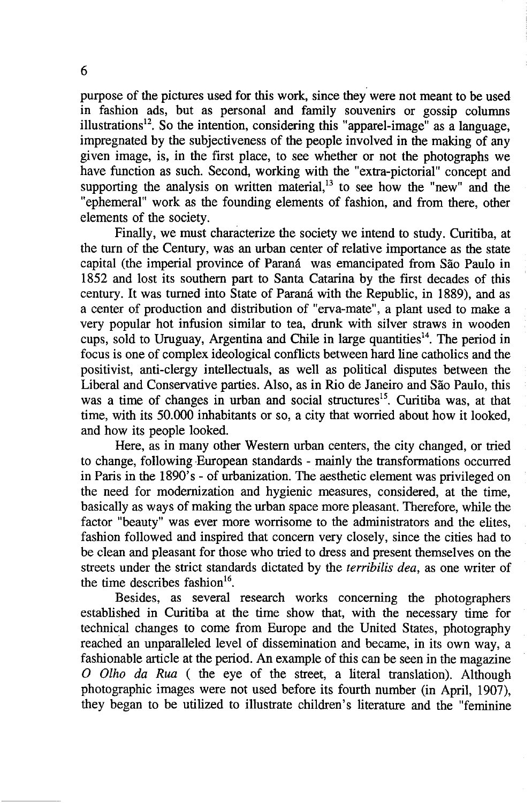purpose of the pictures used for this work, since they were not meant to be used in fashion ads, but as personal and family souvenirs or gossip columns illustrations<sup>12</sup>. So the intention, considering this "apparel-image" as a language, impregnated by the subjectiveness of the people involved in the making of any given image, is, in the first place, to see whether or not the photographs we have function as such. Second, working with the "extra-pictorial" concept and supporting the analysis on written material, $13$  to see how the "new" and the "ephemeral" work as the founding elements of fashion, and from there, other elements of the society.

Finally, we must characterize the society we intend to study. Curitiba, at the turn of the Century, was an urban center of relative importance as the state capital (the imperial province of Paraná was emancipated from São Paulo in 1852 and lost its southern part to Santa Catarina by the first decades of this century. It was turned into State of Parana with the Republic, in 1889), and as a center of production and distribution of "erva-mate", a plant used to make a very popular hot infusion similar to tea, drunk with silver straws in wooden cups, sold to Uruguay, Argentina and Chile in large quantities<sup>14</sup>. The period in focus is one of complex ideological conflicts between hard line catholics and the positivist, anti-clergy intellectuals, as well as political disputes between the Liberal and Conservative parties. Also, as in Rio de Janeiro and Sao Paulo, this was a time of changes in urban and social structures<sup>15</sup>. Curitiba was, at that time, with its 50.000 inhabitants or so, a city that worried about how it looked, and how its people looked.

Here, as in many other Western urban centers, the city changed, or tried to change, following European standards - mainly the transformations occurred in Paris in the 1890's - of urbanization. The aesthetic element was privileged on the need for modernization and hygienic measures, considered, at the time, basically as ways of making the urban space more pleasant. Therefore, while the factor "beauty" was ever more worrisome to the administrators and the elites, fashion followed and inspired that concern very closely, since the cities had to be clean and pleasant for those who tried to dress and present themselves on the streets under the strict standards dictated by the *terribilis dea,* as one writer of the time describes fashion $16$ .

Besides, as several research works concerning the photographers established in Curitiba at the time show that, with the necessary time for technical changes to come from Europe and the United States, photography reached an unparalleled level of dissemination and became, in its own way, a fashionable article at the period. An example of this can be seen in the magazine o Otho *da Rua* ( the eye of the street, a literal translation). Although photographic images were not used before its fourth number (in April, 1907), they began to be utilized to illustrate children's literature and the "feminine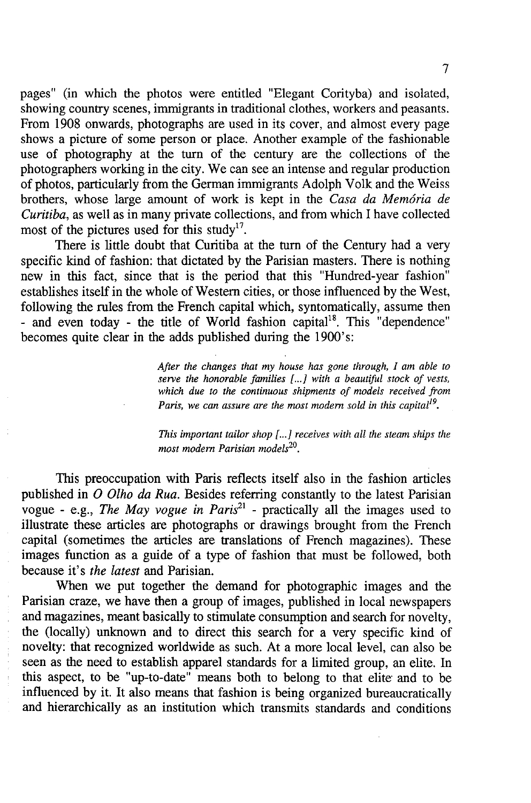pages" (in which the photos were entitled "Elegant Corityba) and isolated, showing country scenes, immigrants in traditional clothes, workers and peasants. From 1908 onwards, photographs are used in its cover, and almost every page shows a picture of some person or place. Another example of the fashionable use of photography at the turn of the century are the collections of the photographers working in the city. We can see an intense and regular production of photos, particularly from the German immigrants Adolph Volk and the Weiss brothers, whose large amount of work is kept in the *Casa da Memoria de Curitiba,* as well as in many private collections, and from which I have collected most of the pictures used for this study<sup>17</sup>.

There is little doubt that Curitiba at the turn of the Century had a very specific kind of fashion: that dictated by the Parisian masters. There is nothing new in this fact, since that is the period that this "Hundred-year fashion" establishes itself in the whole of Western cities, or those influenced by the West, following the rules from the French capital which, syntomatically, assume then - and even today - the title of World fashion capital<sup>18</sup>. This "dependence" becomes quite clear in the adds published during the 1900's:

> *After the changes that my house has gone through, I am able to serve the honorable families* f ... J *with a beautiful stock of vests, which due to the continuous shipments of models received from Paris, we can assure are the most modern sold in this capital*<sup>19</sup>.

> *This important tailor shop [...] receives with all the steam ships the most modem Parisian models20•*

This preoccupation with Paris reflects itself also in the fashion articles published in 0 *Olho* da *Rua.* Besides referring constantly to the latest Parisian vogue - e.g., *The May vogue in Paris*<sup>21</sup> - practically all the images used to illustrate these articles are photographs or drawings brought from the French capital (sometimes the articles are translations of French magazines). These images function as a guide of a type of fashion that must be followed, both because it's *the latest* and Parisian.

When we put together the demand for photographic images and the Parisian craze, we have then a group of images, published in local newspapers and magazines, meant basically to stimulate consumption and search for novelty, the (locally) unknown and to direct this search for a very specific kind of novelty: that recognized worldwide as such. At a more local level, can also be seen as the need to establish apparel standards for a limited group, an elite. In this aspect, to be "up-to-date" means both to belong to that elite and to be influenced by it. It also means that fashion is being organized bureaucratically and hierarchically as an institution which transmits standards and conditions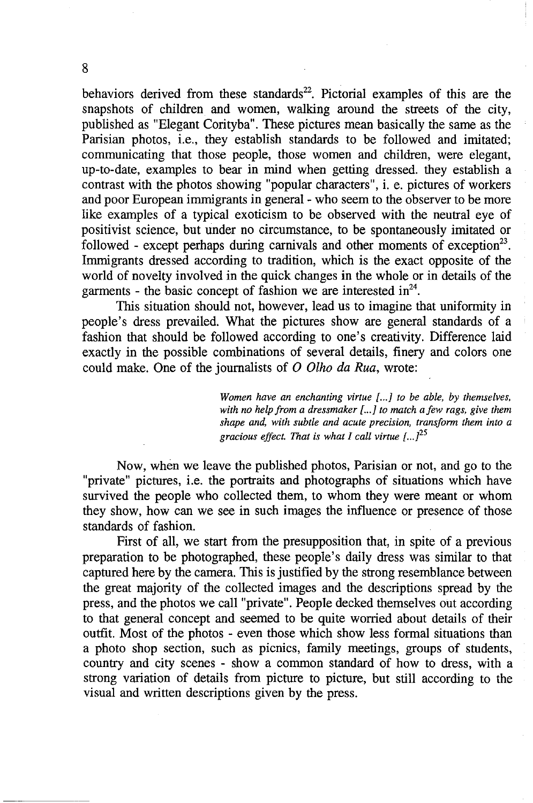behaviors derived from these standards<sup>22</sup>. Pictorial examples of this are the snapshots of children and women, walking around the streets of the city, published as "Elegant Corityba". These pictures mean basically the same as the Parisian photos, i.e., they establish standards to be followed and imitated; communicating that those people, those women and children, were elegant, up-to-date, examples to bear in mind when getting dressed. they establish a contrast with the photos showing "popular characters", i. e. pictures of workers and poor European immigrants in general - who seem to the observer to be more like examples of a typical exoticism to be observed with the neutral eye of positivist science, but under no circumstance, to be spontaneously imitated or followed - except perhaps during carnivals and other moments of exception<sup>23</sup>. Immigrants dressed according to tradition, which is the exact opposite of the world of novelty involved in the quick changes in the whole or in details of the garments - the basic concept of fashion we are interested  $in^{24}$ .

This situation should not, however, lead us to imagine that uniformity in people's dress prevailed. What the pictures show are general standards of a fashion that should be followed according to one's creativity. Difference laid exactly in the possible combinations of several details, finery and colors one could make. One of the journalists of 0 *Olho da Rua,* wrote:

> *Women have an enchanting virtue { ...* J *to be able, by themselves, with no help from a dressmaker { ...* J *to match afew rags, give them shape and, with subtle and acute precision, transform them into a gracious effect. That is what I call virtue { ... P5*

Now, when we leave the published photos, Parisian or not, and go to the "private" pictures, i.e. the portraits and photographs of situations which have survived the people who collected them, to whom they were meant or whom they show, how can we see in such images the influence or presence of those standards of fashion.

First of all, we start from the presupposition that, in spite of a previous preparation to be photographed, these people's daily dress was similar to that captured here by the camera. This is justified by the strong resemblance between the great majority of the collected images and the descriptions spread by the press, and the photos we call "private". People decked themselves out according to that general concept and seemed to be quite worried about details of their outfit. Most of the photos - even those which show less formal situations than a photo shop section, such as picnics, family meetings, groups of students, country and city scenes - show a common standard of how to dress, with a strong variation of details from picture to picture, but still according to the visual and written descriptions given by the press.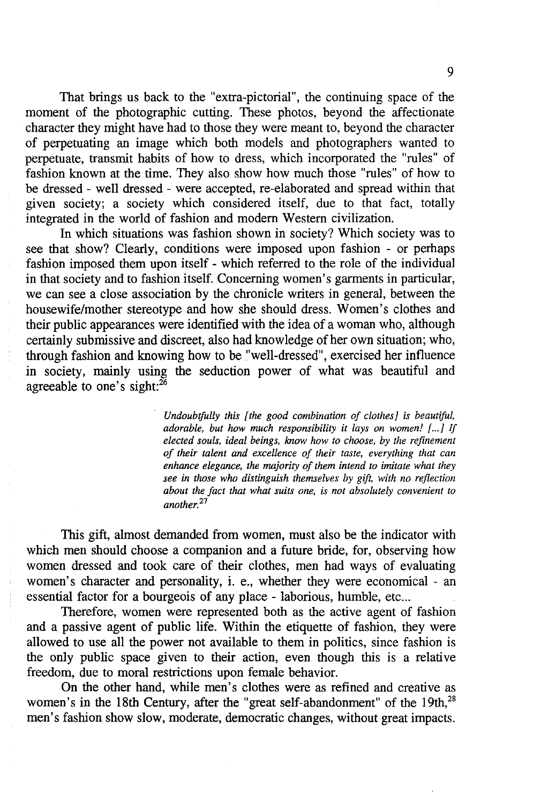That brings us back to the "extra-pictorial", the continuing space of the moment of the photographic cutting. These photos, beyond the affectionate character they might have had to those they were meant to, beyond the character of perpetuating an image which both models and photographers wanted to perpetuate, transmit habits of how to dress, which incorporated the "rules" of fashion known at the time. They also show how much those "rules" of how to be dressed - well dressed - were accepted, re-elaborated and spread within that given society; a society which considered itself, due to that fact, totally integrated in the world of fashion and modern Western civilization.

**In** which situations was fashion shown in society? Which society was to see that show? Clearly, conditions were imposed upon fashion - or perhaps fashion imposed them upon itself - which referred to the role of the individual in that society and to fashion itself. Concerning women's garments in particular, we can see a close association by the chronicle writers in general, between the housewife/mother stereotype and how she should dress. Women's clothes and their public appearances were identified with the idea of a woman who, although certainly submissive and discreet, also had knowledge of her own situation; who, through fashion and knowing how to be "well-dressed", exercised her influence in society, mainly using the seduction power of what was beautiful and agreeable to one's sight: $^{26}$ 

> *Undoubtfully this [the good combination of clothes]* is *beautiful, adorable, but how much responsibility it lays on women!* [...] If *elected souls, ideal beings, know how to choose, by the refinement of their talent and excellence of their taste, everything that can enhance elegance, the majority of them intend to imitate what they see in those who distinguish themselves by gift, with no reflection about the fact that what suits one,* is *not absolutely convenient to another.<sup>27</sup>*

This gift, almost demanded from women, must also be the indicator with which men should choose a companion and a future bride, for, observing how women dressed and took care of their clothes, men had ways of evaluating women's character and personality, i. e., whether they were economical - an essential factor for a bourgeois of any place - laborious, humble, etc...

Therefore, women were represented both as the active agent of fashion and a passive agent of public life. Within the etiquette of fashion, they were allowed to use all the power not available to them in politics, since fashion is the only public space given to their action, even though this is a relative freedom, due to moral restrictions upon female behavior.

On the other hand, while men's clothes were as refined and creative as women's in the 18th Century, after the "great self-abandonment" of the 19th,<sup>28</sup> men's fashion show slow, moderate, democratic changes, without great impacts.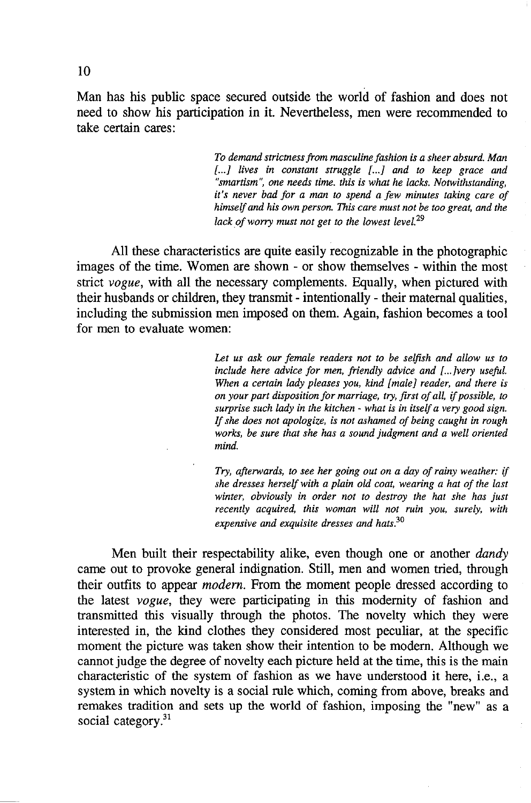Man has his public space secured outside the world of fashion and does not need to show his participation in it. Nevertheless, men were recommended to take certain cares:

> *To demand strictness from masculine fashion is a sheer absurd. Man [ ... I lives in constant struggle [ ... I and to keep grace and "smartism", one needs time. this is what he lacks. Notwithstanding, it's never bad for a man to spend a few minutes taking care of himself and his own person. This care must not be too great, and the lack of worry must not get to the lowest level. 29*

All these characteristics are quite easily recognizable in the photographic images of the time. Women are shown - or show themselves - within the most strict *vogue,* with all the necessary complements. Equally, when pictured with their husbands or children, they transmit - intentionally - their maternal qualities, including the submission men imposed on them. Again, fashion becomes a tool for men to evaluate women:

> *Let us ask our female readers not to be selfish and allow us to include here advice for men, friendly advice and [ ... Ivery useful. When a certain lady pleases you, kind [maleI reader, and there is on your part disposition for marriage, try, first of all,* if *possible, to surprise such lady in the kitchen* - *what is in itself a very good sign.*  If *she does not apologize, is not ashamed of being caught in rough works, be sure that she has a sound judgment and a well oriented mind.*

> *Try, afterwards, to see her going out on a day of rainy weather:* if *she dresses herself with a plain old coat, wearing a hat of the last winter, obviously in order not to destroy the hat she has just recently acquired, this woman will not ruin you, surely, with expensive and exquisite dresses and hats.*3o

Men built their respectability alike, even though one or another *dandy*  came out to provoke general indignation. Still, men and women tried, through their outfits to appear *modern.* From the moment people dressed according to the latest *vogue,* they were participating in this modernity of fashion and transmitted this visually through the photos. The novelty which they were interested in, the kind clothes they considered most peculiar, at the specific moment the picture was taken show their intention to be modem. Although we cannot judge the degree of novelty each picture held at the time, this is the main characteristic of the system of fashion as we have understood it here, i.e., a system in which novelty is a social rule which, coming from above, breaks and remakes tradition and sets up the world of fashion, imposing the "new" as a social category.<sup>31</sup>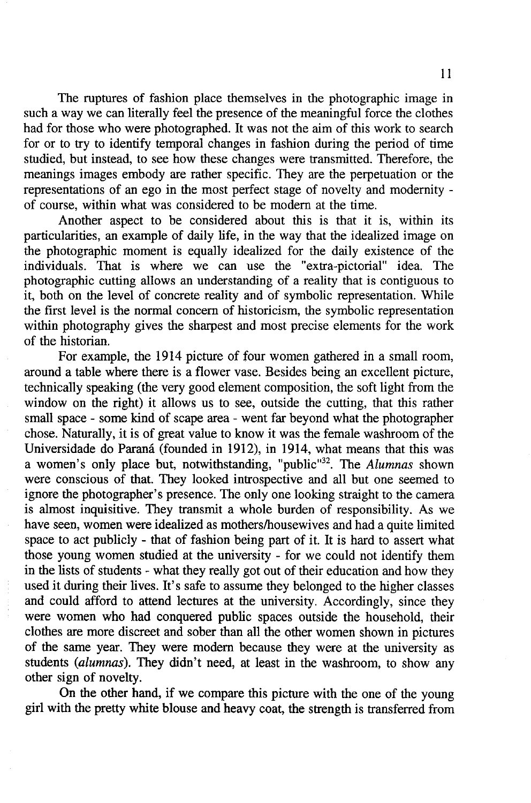The ruptures of fashion place themselves in the photographic image in such a way we can literally feel the presence of the meaningful force the clothes had for those who were photographed. It was not the aim of this work to search for or to try to identify temporal changes in fashion during the period of time studied, but instead, to see how these changes are transmitted. Therefore, the meanings images embody are rather specific. They are the perpetuation or the representations of an ego in the most perfect stage of novelty and modernity of course, within what was considered to be modern at the time.

Another aspect to be considered about this is that it is, within its particularities, an example of daily life, in the way that the idealized image on the photographic moment is equally idealized for the daily existence of the individuals. That is where we can use the "extra-pictorial" idea. The photographic cutting allows an understanding of a reality that is contiguous to it, both on the level of concrete reality and of symbolic representation. While the first level is the normal concern of historicism, the symbolic representation within photography gives the sharpest and most precise elements for the work of the historian.

For example, the 1914 picture of four women gathered in a small room, around a table where there is a flower vase. Besides being an excellent picture, technically speaking (the very good element composition, the soft light from the window on the right) it allows us to see, outside the cutting, that this rather small space - some kind of scape area - went far beyond what the photographer chose. Naturally, it is of great value to know it was the female washroom of the Universidade do Parana (founded in 1912), in 1914, what means that this was a women's only place but, notwithstanding, "public"<sup>32</sup>. The *Alumnas* shown were conscious of that. They looked introspective and all but one seemed to ignore the photographer's presence. The only one looking straight to the camera is almost inquisitive. They transmit a whole burden of responsibility. As we have seen, women were idealized as mothers/housewives and had a quite limited space to act publicly - that of fashion being part of it. It is hard to assert what those young women studied at the university - for we could not identify them in the lists of students - what they really got out of their education and how they used it during their lives. It's safe to assume they belonged to the higher classes and could afford to attend lectures at the university. Accordingly, since they were women who had conquered public spaces outside the household, their clothes are more discreet and sober than all the other women shown in pictures of the same year. They were modern because they were at the university as students *(alumnas).* They didn't need, at least in the washroom, to show any other sign of novelty.

On the other hand, if we compare this picture with the one of the young girl with the pretty white blouse and heavy coat, the strength is transferred from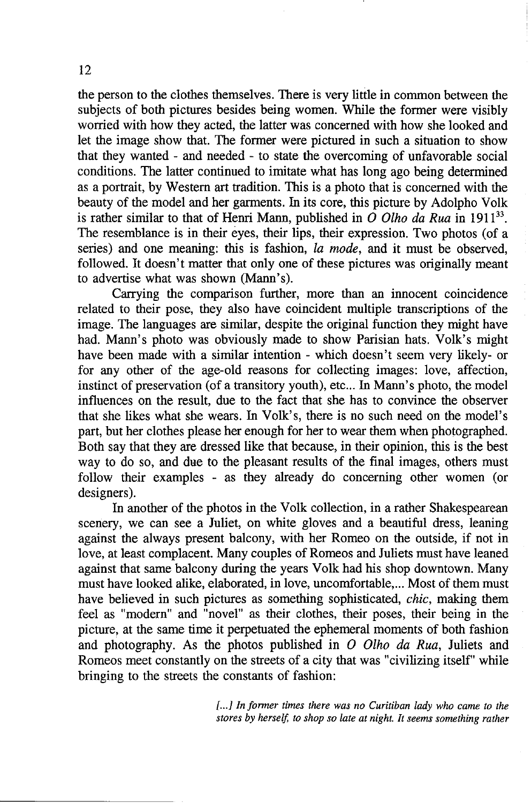the person to the clothes themselves. There is very little in common between the subjects of both pictures besides being women. While the former were visibly worried with how they acted, the latter was concerned with how she looked and let the image show that. The former were pictured in such a situation to show that they wanted - and needed - to state the overcoming of unfavorable social conditions. The latter continued to imitate what has long ago being determined as a portrait, by Western art tradition. This is a photo that is concerned with the beauty of the model and her garments. In its core, this picture by Adolpho Yolk is rather similar to that of Henri Mann, published in  $\hat{O}$  *Olho da Rua* in 1911<sup>33</sup>. The resemblance is in their eyes, their lips, their expression. Two photos (of a series) and one meaning: this is fashion, *ta mode,* and it must be observed, followed. It doesn't matter that only one of these pictures was originally meant to advertise what was shown (Mann's).

Carrying the comparison further, more than an innocent coincidence related to their pose, they also have coincident multiple transcriptions of the image. The languages are similar, despite the original function they might have had. Mann's photo was obviously made to show Parisian hats. Yolk's might have been made with a similar intention - which doesn't seem very likely- or for any other of the age-old reasons for collecting images: love, affection, instinct of preservation (of a transitory youth), etc... In Mann's photo, the model influences on the result, due to the fact that she has to convince the observer that she likes what she wears. In Volk's, there is no such need on the model's part, but her clothes please her enough for her to wear them when photographed. Both say that they are dressed like that because, in their opinion, this is the best way to do so, and due to the pleasant results of the final images, others must follow their examples - as they already do concerning other women (or designers).

In another of the photos in the Yolk collection, in a rather Shakespearean scenery, we can see a Juliet, on white gloves and a beautiful dress, leaning against the always present balcony, with her Romeo on the outside, if not in love, at least complacent. Many couples of Romeos and Juliets must have leaned against that same balcony during the years Yolk had his shop downtown. Many must have looked alike, elaborated, in love, uncomfortable, ... Most of them must have believed in such pictures as something sophisticated, *chic,* making them feel as "modern" and "novel" as their clothes, their poses, their being in the picture, at the same time it perpetuated the ephemeral moments of both fashion and photography. As the photos published in *O Olho da Rua*, Juliets and Romeos meet constantly on the streets of a city that was "civilizing itself" while bringing to the streets the constants of fashion:

> [...] In former times there was no Curitiban lady who came to the *stores by herself, to shop so late at night. It seems something rather*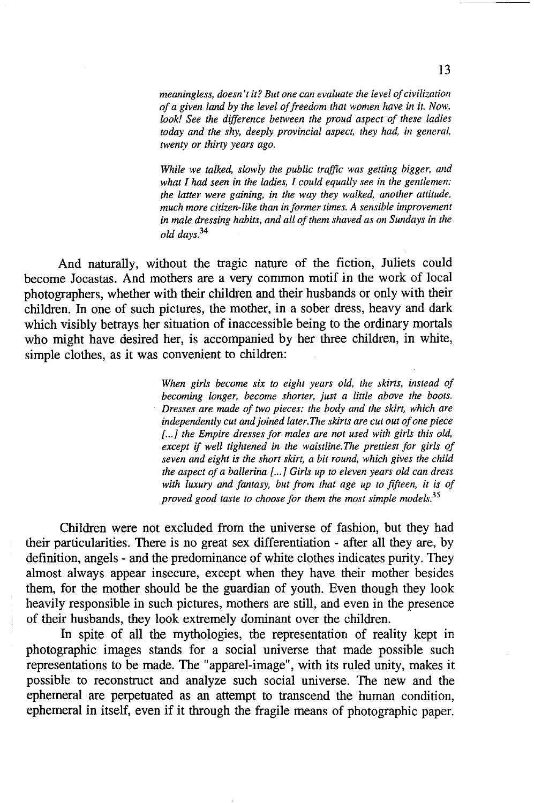*meaningless, doesn't it? But one can evaluate the level of civilization of a given land by the level offreedom that women have in it. Now, look! See the difference between the proud aspect of these ladies today and the shy, deeply provincial aspect, they had, in general, twenty or thirty years ago.* 

*While we talked, slowly the public traffic was getting bigger, and what I had seen in the ladies, I could equally see in the gentlemen: the latter were gaining, in the way they walked, another attitude, much more citizen-like than informer times. A sensible improvement in male dressing habits, and all of them shaved as on Sundays in the old days.34* 

And naturally, without the tragic nature of the fiction, Juliets could become Jocastas. And mothers are a very common motif in the work of local photographers, whether with their children and their husbands or only with their children. In one of such pictures, the mother, in a sober dress, heavy and dark which visibly betrays her situation of inaccessible being to the ordinary mortals who might have desired her, is accompanied by her three children, in white, simple clothes, as it was convenient to children:

> *When girls become six to eight years old, the skirts, instead of becoming longer, become shorter, just a little above the boots. Dresses are made of two pieces: the body and the skirt, which are independently cut and joined later. The skirts are cut out of one piece*  [...] the Empire dresses for males are not used with girls this old, *except* if *well tightened in the waistline. The prettiest for girls of seven and eight is the short skirt, a bit round, which gives the child the aspect of a ballerina* f. .. J *Girls up to eleven years old can dress with luxury and fantasy, but from that age up to fifteen, it is of proved good taste to choose for them the most simple models.<sup>35</sup>*

Children were not excluded from the universe of fashion, but they had their particularities. There is no great sex differentiation - after all they are, by definition, angels - and the predominance of white clothes indicates purity. They almost always appear insecure, except when they have their mother besides them, for the mother should be the guardian of youth. Even though they look heavily responsible in such pictures, mothers are still, and even in the presence of their husbands, they look extremely dominant over the children.

In spite of all the mythologies, the representation of reality kept in photographic images stands for a social universe that made possible such representations to be made. The "apparel-image", with its ruled unity, makes it possible to reconstruct and analyze such social universe. The new and the ephemeral are perpetuated as an attempt to transcend the human condition, ephemeral in itself, even if it through the fragile means of photographic paper.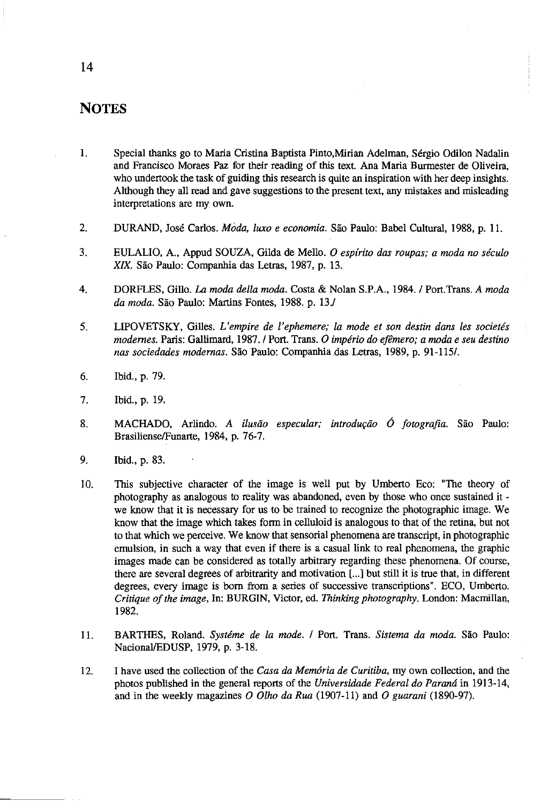# **NOTES**

- 1. Special thanks go to Maria Cristina Baptista Pinto,Mirian Adelman, Sergio Odilon Nadalin and Francisco Moraes paz for their reading of this text. Ana Maria Burmester de Oliveira, who undertook the task of guiding this research is quite an inspiration with her deep insights. Although they all read and gave suggestions to the present text, any mistakes and misleading interpretations are my own.
- 2. DURAND, Jose Carlos. *Moda, luxo e economia.* Sao Paulo: Babel Cultural, 1988, p. 11.
- 3. EULALIO, A., Appud SOUZA, Gilda de Mello. a *espirito das roupas; a moda no seculo*  XIX. Sao Paulo: Cornpanhia das Letras, 1987, p. 13.
- 4. DORFLES, Gillo. La *moda della moda.* Costa & Nolan S.P.A., 1984. / Port.Trans. *A moda da moda.* Sao Paulo: Martins Fontes, 1988. p. *13.1*
- 5. LIPOVETSKY, Gilles. *L'empire de l'ephemere; la mode et son destin dans les societes modernes.* Paris: Gallimard, 1987. / Port. Trans. a *imperio do eflmero; a moda e seu destino nas sociedades modernas.* Sao Paulo: Companhiadas Letras, 1989, p. 91-115/.
- 6. Ibid., p. 79.
- 7. Ibid., p. 19.
- 8. MACHADO, Arlindo, A ilusão especular; introdução Ó fotografia. São Paulo: Brasiliense/Funarte, 1984, p. 76-7.
- 9. Ibid., p. 83.
- 10. This subjective character of the image is well put by Umberto Eco: "The theory of photography as analogous to reality was abandoned, even by those who once sustained it we know that it is necessary for us to be trained to recognize the photographic image. We know that the image which takes form in celluloid is analogous to that of the retina, but not to that which we perceive. We know that sensorial phenomena are transcript, in photographic emulsion, in such a way that even if there is a casual link to real phenomena, the graphic images made can be considered as totally arbitrary regarding these phenomena. Of course, there are several degrees of arbitrarity and motivation [ ... j but still it is true that, in different degrees, every image is born from a series of successive transcriptions". ECO, Umberto. *Critique of the image,* In: BURGIN, Victor, ed. *Thinking photography.* London: Macmillan, 1982.
- 11. BARTHES, Roland. *Systeme de la mode.* / Port. Trans. *Sistema da moda.* Sao Paulo: NacionallEDUSP, 1979, p. 3-18.
- 12. I have used the collection of the *Casa da Memoria de Curitiba,* my own collection, and the photos published in the general reports of the *Universidade Federal do Parana* in 1913-14, and in the weekly magazines  $\ddot{o}$  *Olho da Rua* (1907-11) and  $\ddot{o}$  *guarani* (1890-97).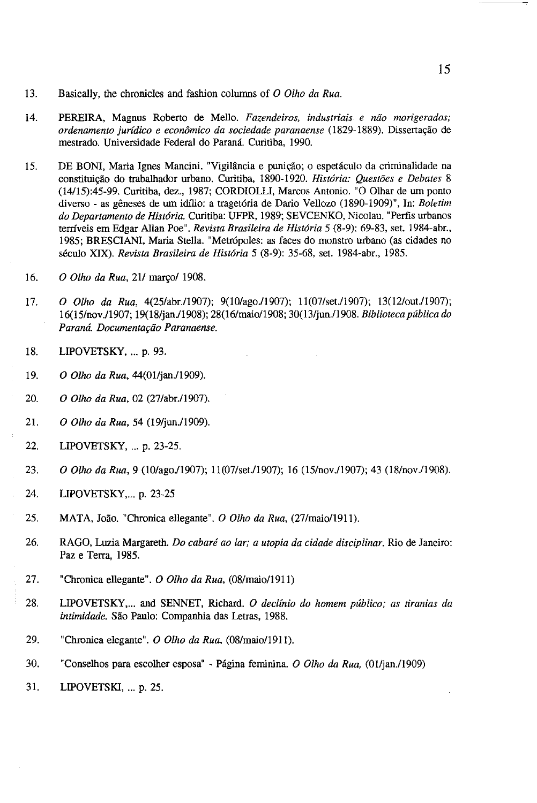- 13. Basically, the chronicles and fashion columns of *0 Olho da Rua.*
- 14. PEREIRA, Magnus Roberto de Mello. *Fazendeiros, indus/riais e niio nwrigerados; ordenamento jurídico e econômico da sociedade paranaense* (1829-1889). Dissertação de mestrado. Universidade Federal do Parana. Curitiba, 1990.
- 15. DE BONI, Maria Ignes Mancini. "Vigilância e punição; o espetáculo da criminalidade na constitui<;ao do trabalhador urbano. Curitiba, 1890-1920. *His/oria: Questoes e Debates* 8 (14115):45-99. Curitiba, dez., 1987; CORDIOLLI, Marcos Antonio. "0 Olhar de urn ponto diverso - as geneses de urn idJ1io: a traget6ria de Dario Vellozo (1890-1909)", In: *Boletim do Departamento de Historia.* Curitiba: UFPR, 1989; SEVCENKO, Nicolau. "Perfis urbanos terrfveis em Edgar Allan Poe". *Revista Brasileira de His/oria* 5 (8-9): 69-83, set. 1984-abr., 1985; BRESCIANI, Maria Stella. "Metr6poles: as faces do monstro urbano (as cidades no seculo XIX). *Revista Brasileira de His/oria* 5 (8-9): 35-68, set. I 984-abr., 1985.
- 16. *O Olho da Rua*, 21/ março/ 1908.
- 17. *O Olho da Rua*, 4(25/abr./1907); 9(10/ago./1907); 11(07/set./1907); 13(12/out./1907); 16(l5/nov.l1907; 19(18/jan.ll908); 28(l6/maio11908; 30(13/jun.l1908. *Biblioteca publica do Parana. Documenta{:iio Paranaense.*
- 18. LIPOVETSKY, ... p. 93.
- 19. *O Olho da Rua,* 44(01/jan./1909).
- 20. *O Olho da Rua,* 02 (27/abr./1907).
- 21. *O Olho da Rua,* 54 (19/jun./1909).
- 22. LIPOVETSKY, ... p. 23-25.
- 23. *O Olho da Rua*, 9 (10/ago./1907); 11(07/set./1907); 16 (15/nov./1907); 43 (18/nov./1908).
- 24. LIPOVETSKY,... p. 23-25
- 25. MATA, loao. "Chronica ellegante". *0 Olho da Rua,* (27/maio/1911).
- 26. RAGO, Luzia Margareth. *Do cabaré ao lar; a utopia da cidade disciplinar*. Rio de Janeiro: Paz e Terra, 1985.
- 27. "Chronica ellegante". *0 Olho da Rua,* (08/maio/1911)
- 28. LIPOVETSKY, ... and SENNET, Richard. *0 declfnio do homem publico; as tiranias da intimidade.* Sao Paulo: Companhia das Letras, 1988.
- 29. "Chronica elegante". *O Olho da Rua*, (08/maio/1911).
- 30. "Conselhos para escolher esposa" Pagina feminina. *0 Olho da Rua,* (0Iljan.l1909)
- 31. LIPOVETSKI, ... p. 25.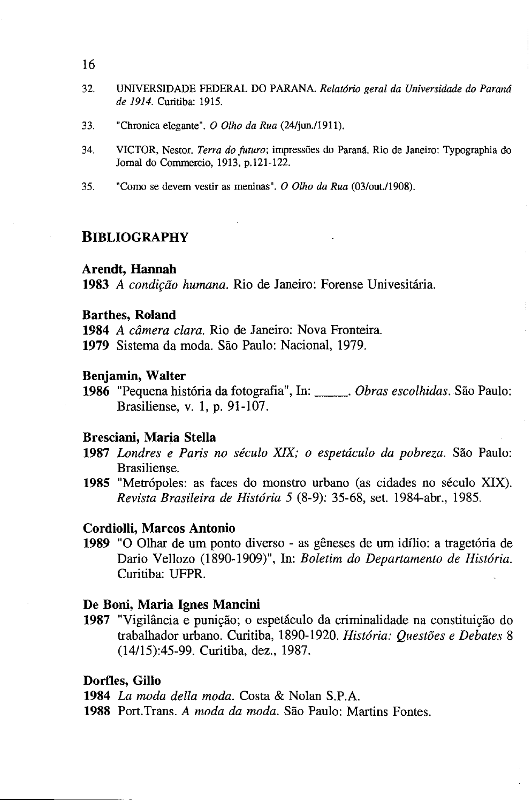- 16
- 32. UNIVERSIDADE FEDERAL DO PARANA. *Relatorio geral da Universidade do Parana de* 1914. Curitiba: 1915.
- 33. "Chronica elegante". *O Olho da Rua* (24/jun./1911).
- 34. VICTOR, Nestor. *Terra do futuro;* impress6es do Parana. Rio de Janeiro: Typographia do Jomal do Commercio, 1913, p.l21-122.
- 35. "Como se devem vestir as meninas". *0 Olho da Rua* (03/out.lI908).

# **BIBLIOGRAPHY**

# **Arendt, Hannah**

1983 *A condição humana*. Rio de Janeiro: Forense Univesitária.

## **Barthes, Roland**

**1984** *A camera clara.* Rio de Janeiro: Nova Fronteira.

**1979** Sistema da moda. Sao Paulo: NacionaI, 1979.

#### **Benjamin, Walter**

**<sup>1986</sup>**"Pequena hist6ria da fotografia", In: \_\_ . *Obras escolhidas.* Sao Paulo: Brasiliense, v. 1, p. 91-107.

#### **Bresciani, Maria Stella**

- **1987** *Londres e Paris no seculo XIX; 0 espetaculo da pobreza.* Sao Paulo: Brasi1iense.
- 1985 "Metrópoles: as faces do monstro urbano (as cidades no século XIX). *Revista Brasileira de Hist6ria* 5 (8-9): 35-68, set. 1984-abr., 1985.

#### **Cordiolli, Marcos Antonio**

**1989** "0 Olbar de urn ponto diverso - as geneses de urn idilio: a traget6ria de Dario Vellozo (1890-1909)", In: *Boletim do Departamento de História*. Curitiba: UFPR.

### **De Boni, Maria Ignes Mancini**

1987 "Vigilância e punição; o espetáculo da criminalidade na constituição do trabalbador urbano. Curitiba, 1890-1920. *Hist6ria: Questoes e Debates* 8 (14/15):45-99. Curitiba, dez., 1987.

#### **Dorfles, Gillo**

**1984** *La moda della moda.* Costa & Nolan S.P.A.

**1988** Port.Trans. *A moda da moda.* Sao Paulo: Martins Fontes.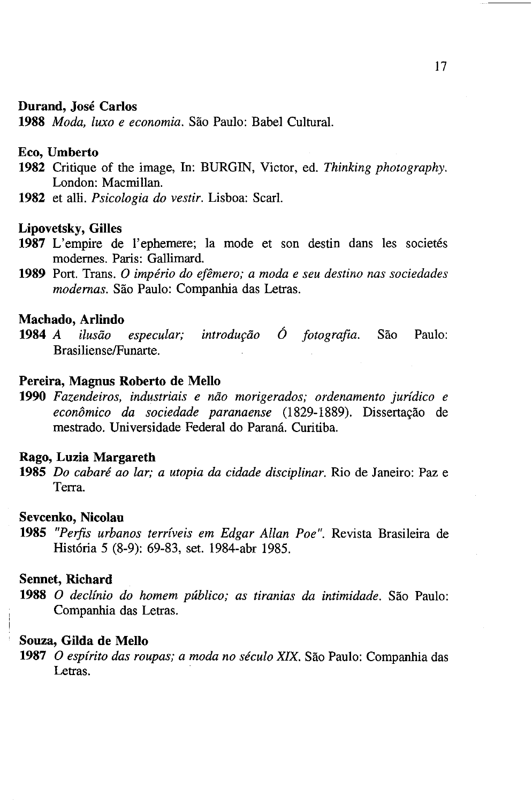#### **Durand, Jose Carlos**

**1988** *Moda, luxo e economia.* Sao Paulo: Babel Cultural.

### **Eco, Umberto**

- **1982** Critique of the image, In: BURGIN, Victor, ed. *Thinking photography.*  London: Macmillan.
- **1982** et alli. *Psicologia do vestir.* Lisboa: Searl.

#### **Lipovetsky, Gilles**

- 1987 L'empire de l'ephemere; la mode et son destin dans les societés modemes. Paris: Gallimard.
- **1989** Port. Trans. 0 *imperio do ejemero; a moda e seu destino nas sociedades modernas.* Sao Paulo: Companhia das Letras.

# **Machado, Arlindo**

1984 *A ilusão especular; introdução Ó fotografia*. São Paulo: BrasilienselFunarte.

### **Pereira, Magnus Roberto de Mello**

1990 Fazendeiros, industriais e não morigerados; ordenamento jurídico e *econômico da sociedade paranaense* (1829-1889). Dissertação de mestrado. Universidade Federal do Parana. Curitiba.

# **Rago, Luzia Margareth**

**1985** *Do cabare ao lar; a utopia da cidade disciplinar.* Rio de Janeiro: Paz e Terra.

### **Sevcenko, Nicolau**

**1985** *"Perfis urbanos terriveis em Edgar Allan Poe".* Revista Brasileira de Hist6ria 5 (8-9): 69-83, set. 1984-abr 1985.

## **Sennet, Richard**

**1988** 0 *declinio do homem publico; as tiranias da intimidade.* Sao Paulo: Companhia das Letras.

### **Souza, Gilda de Mello**

**1987** 0 *espirito das roupas; a moda no seculo XIX.* Sao Paulo: Companhia das Letras.